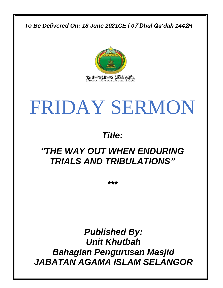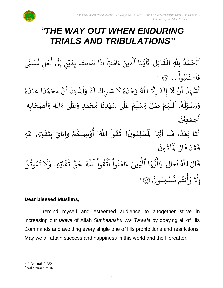

## *"THE WAY OUT WHEN ENDURING TRIALS AND TRIBULATIONS"*

 $\frac{1}{2}$ ن<br>ا اَلْحَمْدُ لِلَّهِ الْقَائِلِ: يَٰٓأَيُّهَا ِ<br>ُ' ْ  $\overline{\phantom{a}}$ ْ  $\overline{\phantom{a}}$  $\frac{1}{2}$ ֦֧֦֧֦֧֦֧֦֧֦֦֧֦֧֦֧֦֧֦֧֦֧֦֝֟֓֟֓֓֓֟֓֟֓֟֓֟֓֟֓֟֓֟֓֟֓֟֓֟֓֟֓֟֓֕֟֓֡֟֓֟֓֟֓֟֓֟֓֝֬֟֓֟֓֟֓֟֓<br>**֓**֧ׅׅ֧֧֓֝֟֡֡֟֓֝֬ ه و<br>د ت<br>ڊ ِ<br>ج أ ِ<br>د يَ<br>يَأْتُهَا ٱلَّذِينَ لَّذِينَ ءَامَنُوٓاْ إِذَا تَدَايَنتُم بِدَيْنِ إِلَىٰٓ أَجَلٍ مُّسَمَّى لي مَّ<br>ك  $\overline{\phantom{a}}$ ج ِ<br>ج أ ِ<br>س ِ<br>ا يُنٍ إِلَيْ ؚ<br>ۣ ِ<br>ا نِنُم بِدَ و<br>به ر<br>د اي ِ<br>ا د  $\ddot{\cdot}$ ا ت  $\ddot{\cdot}$ إِذ ْ ا ر<br>م بر<br>نمو ُو ِ<br>م ام ر<br>ء ء  $\ddot{\cdot}$ فَأْڪَنُبُوهُ …۞ ا ج<br>مر ُ و<br>به <u>ہ</u>

۠<br>ؙ أَشْهَدُ أَنْ لَّا إِلَيْهَ إِلَّا اللَّهُ وَحْدَهُ لَا شَرِيكَ لَهُ وَأَشْهَدُ أَنَّ مُحَمَّدًا عَبْدُهُ *ा*<br>∶ ِ<br>ا ً<br>زار ۠<br>۠  $\ddot{\phantom{0}}$ ِ<br>پ ์<br>-<br>4 হ<br>∕  $\frac{1}{2}$ ر<br>الم ٍ<br>ٌ  $\frac{1}{1}$  $\frac{1}{2}$  $\mathbf{r}$ ٍ<br>ٌ ِ<br>ا ់<br>រ .<br>م ً<br>ا ั<br>ถ ๋<br>ጎ َ  $\ddot{\phantom{0}}$ ِ<br>ُا َ<br>پر<br>ر ْ  $\ddot{\phantom{0}}$  $\tilde{\cdot}$ ِ<br>ر  $\mathbf{r}$  $\sum$  $\mathbf{r}$ ُ وَرَسُوْلُهُ. اَللَّهُمَّ صَلِّ وَسَلِّمْ عَلَى سَيِّدِنَا مُحَمَّدٍ وَعَلَى ءَالِهِ وَأَصْحَابِه ֦֧֦֧֦֧<u>֦</u> ُ<br>ُ  $\ddot{\phantom{0}}$  $\frac{1}{2}$ ِّ  $\frac{1}{2}$  $\tilde{\cdot}$ ั้<br>ถึ ر<br>ر<br>ر ً<br>ا  $\overline{\phantom{a}}$ ر<br>ر ً<br>آ ِ<br>م  $\frac{1}{2}$ <u>لم</u> ั<br>ว  $\frac{1}{\lambda}$ ا<br>با ِّ  $\frac{1}{2}$  $\frac{1}{2}$ ً<br>آ َ  $\ddot{\phantom{0}}$  $\ddot{\phantom{0}}$  $\frac{1}{2}$  $\tilde{\cdot}$  $\ddot{\phantom{0}}$ أَجْمَع<u>ِ</u>يْنَ. ់<br>|<br>|  $\frac{1}{2}$ ֦֧֝֟֝֟֟֟֟֟֟֟֟֟֟֟֟֟֟֟֟֟֟֟֕֕֕֟֓֟֓֕֝֟֓֕֝֟֓֟֓֕֟

ِّ<br>أَمَّا بَعْدُ، فَيَا أَيُّهَا الْمُسْلِمُونَ! اِتَّقُواْ اللَّهَ! أُوْصِيكُمْ وَإِيَّايَ بِتَقْوَى اللّهِ  $\frac{1}{1}$  $\ddot{\cdot}$ ر<br>ا ّ  $\ddot{\cdot}$ ั<br>ว  $\ddot{\phantom{0}}$  $\ddot{\phantom{0}}$  $\ddot{\phantom{0}}$ ֦֧֦֧֦֧֦֧֦֧֦֧֦֧֦֧֦֧֦֧֦֧֦֧֦֧<br>**֧**֧֓֘  $\ddot{\phantom{0}}$  $\frac{1}{2}$ َ  $\frac{1}{2}$  $\tilde{\cdot}$ ر<br>م ֧֦֧֦֧֘֝<u>֚</u> ُ ់<br>ព ُ<br>ُ  $\frac{1}{2}$  $\ddot{\phantom{0}}$ ›<br>ጎ مَّهَا الْمُأْ ِ<br>پاس<br>مرد ا<br>وُلا .  $\ddot{\phantom{0}}$ ؾۛٞڨۛۅڹؘ ፟<br>፝ ا<br>مراجع ُْ فَقَدْ فَازَ الْمُ  $\ddot{\cdot}$  $\ddot{\cdot}$ ْ  $\frac{1}{2}$  $\ddot{\cdot}$ قَالَ اللَّهُ تَعَالَى: َ  $\ddot{\phantom{0}}$  $\ddot{\mathbf{r}}$ ً<br>الح ل ֦֘ ِرِ يَايَّهَا ِ<br>م ه و<br>د سَ<br>ڊ ِ<br>ع أَيَّهَا ٱلَّذِينَ بة<br>أ لَّذِينَ ءَامَنُوا ْ ُ ِ<br>م ام ر<br>ء ءَامَنُوا اتَّقُوا ْ ور بہ<br>مو تَّقُوا ا ذَ للَّهَ حَقَّ تُقَاتِهِ  $\ddot{\tilde{}}$ ق ت و<br>به بر<br>بد قة  $\tilde{\phantom{a}}$ حَقَّ ثَقَاتِهِۦ ر<br>م وَلَا تَمُوتُنَّ  $\ddot{\phantom{0}}$ مُوتَنَّ و<br>په و  $\ddot{\cdot}$ ت إِلَّٰهِ ہ<br>الم  $\ddot{\cdot}$ سْلِمُونَ و<br>م  $\ddot{\phantom{0}}$ و<br>ما نتُم مَّ و<br>به ِ<br>ج أ وَأَنتُم مُّسۡلِمُونَ ۞ 2

#### **Dear blessed Muslims,**

I remind myself and esteemed audience to altogether strive in increasing our *taqwa* of Allah *Subhaanahu Wa Ta'aala* by obeying all of His Commands and avoiding every single one of His prohibitions and restrictions. May we all attain success and happiness in this world and the Hereafter.

 $<sup>1</sup>$  al-Baqarah 2:282.</sup>

<sup>2</sup> Aal 'Imraan 3:102.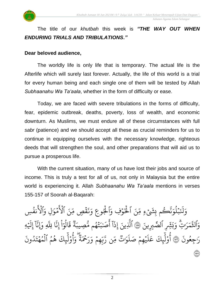

### The title of our *khutbah* this week is *"THE WAY OUT WHEN ENDURING TRIALS AND TRIBULATIONS."*

#### **Dear beloved audience,**

The worldly life is only life that is temporary. The actual life is the Afterlife which will surely last forever. Actually, the life of this world is a trial for every human being and each single one of them will be tested by Allah *Subhaanahu Wa Ta'aala*, whether in the form of difficulty or ease.

Today, we are faced with severe tribulations in the forms of difficulty, fear, epidemic outbreak, deaths, poverty, loss of wealth, and economic downturn. As Muslims, we must endure all of these circumstances with full *sabr* (patience) and we should accept all these as crucial reminders for us to continue in equipping ourselves with the necessary knowledge, righteous deeds that will strengthen the soul, and other preparations that will aid us to pursue a prosperous life.

With the current situation, many of us have lost their jobs and source of income. This is truly a test for all of us, not only in Malaysia but the entire world is experiencing it. Allah *Subhaanahu Wa Ta'aala* mentions in verses 155-157 of Soorah al-Baqarah:

م ك ر بة<br>ج ن ِ<br>م بملوَ و<br>ا ؚ<br>ۣ ِ<br>لَذَ َل ِ<br>ہ وَلَنَبۡلُوَنَّڪُم بِشَيۡءٍ مِّنَ بِشَيۡءِ مِّنَ ٱلۡخَوۡفِ .<br>م ِ<br>په ہ<br>ا لْخَوْفِ وَٱلْجُوعِ وَنَقْصٍ مِّنَ ِ<br>و ہ<br>آ قُصٍ مِّ ۡ  $\ddot{\cdot}$ بر<br>ف ر<br>م وَنَقۡصٍ مِّنَ ٱلۡأَمۡوَالِ مَوَّا  $\frac{1}{2}$ ہ<br>م ځ لْأَمْوَالِ وَٱلْأَنفُسِ و<br>د ہ<br>م ځ لانفَسِ وَٱلثَّمَرَٰتِ رد ر<br>م م ر<br>مو لَّقَمَرَ<sup>اتِ</sup>ّ وَبَشِّرِ ب وَبَثِّرِ ٱلصَّبِرِينَ ۞ ٱلَّذِينَ :<br>:<br>: لَّذِينَ إِذَا آَصَبَتْهُم مُّصِيبَةً قَالَوٓا إِنَّا لِلَّهِ وَإِنَّاۤ إِلَيْهِ  $\frac{1}{2}$ ِ<br>ا إِلَيْهِ ر<br>آ ا بر<br>ج ِ ِإَون بة<br>أ ا ِّلل بة<br>ج إِن ْ ا ر<br>م و ال و<br>ا  $\ddot{\cdot}$ ق وو<br>په ة ِ ِصِيبَ و<br>ما تَّهُم مَّ و<br>م  $\ddot{\phantom{0}}$ ِ ب صَ ֦֧֢ ے<br>ج7ء<br>آ آ أ ا إِذ .<br>\* جِعُونَ و<br>م  $\overline{a}$ ِ رَاجِعُونَ ۞ أُوْلَٰٓيِكَ َ<br>الم أوْليكَ ْ م ۔<br>ع ِ<br>ا  $\uplambda$ ِ<br>م عَلَيۡهِمۡ صَلَوَاتُ مِّن رَّبِّهِمۡ وَرَحۡمَةُ ۚ وَأُوْلَٰٰٓٓؠِكَ هُمُ و و<br>ج بر<br>ا ل و <u>ّ</u> و<br>م أ ِرِ و ھ<br>وو ة ر<br>ح ِ<br>ۡحَمَ ِ<br>په ر ِ<br>م مجمَّ *وَ*  $\frac{1}{2}$ ں<br>ا ب<br>ڊ ن<br>م ِن ر ں<br>س ∝<br>م وو<br>\*\* ۔<br>وات وَا ر<br>آ يَهِمْ صَلَوَ<sub>ّك</sub>ْ مِّن رَّبِّهِمْ وَرَحْمَةٌ وَأُوْلَٰٓ<sub>ع</sub>ِكَ هُمُ ٱ  $\frac{1}{2}$ ؚ<br>ۣ .<br>` ون د و<br>ا  $\ddot{\cdot}$ ت ه م  $\frac{1}{4}$ و<br>م ہ<br>1 ل (۱**٥**٧)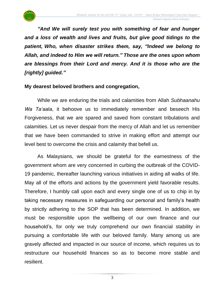

*"And We will surely test you with something of fear and hunger and a loss of wealth and lives and fruits, but give good tidings to the patient, Who, when disaster strikes them, say, "Indeed we belong to Allah, and indeed to Him we will return." Those are the ones upon whom are blessings from their Lord and mercy. And it is those who are the [rightly] guided."*

#### **My dearest beloved brothers and congregation,**

While we are enduring the trials and calamities from Allah *Subhaanahu Wa Ta'aala*, it behoove us to immediately remember and beseech His Forgiveness, that we are spared and saved from constant tribulations and calamities. Let us never despair from the mercy of Allah and let us remember that we have been commanded to strive in making effort and attempt our level best to overcome the crisis and calamity that befell us.

As Malaysians, we should be grateful for the earnestness of the government whom are very concerned in curbing the outbreak of the COVID-19 pandemic, thereafter launching various initiatives in aiding all walks of life. May all of the efforts and actions by the government yield favorable results. Therefore, I humbly call upon each and every single one of us to chip in by taking necessary measures in safeguarding our personal and family's health by strictly adhering to the SOP that has been determined. In addition, we must be responsible upon the wellbeing of our own finance and our household's, for only we truly comprehend our own financial stability in pursuing a comfortable life with our beloved family. Many among us are gravely affected and impacted in our source of income, which requires us to restructure our household finances so as to become more stable and resilient.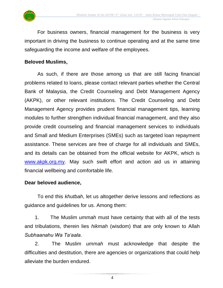

For business owners, financial management for the business is very important in driving the business to continue operating and at the same time safeguarding the income and welfare of the employees.

#### **Beloved Muslims,**

As such, if there are those among us that are still facing financial problems related to loans, please contact relevant parties whether the Central Bank of Malaysia, the Credit Counseling and Debt Management Agency (AKPK), or other relevant institutions. The Credit Counseling and Debt Management Agency provides prudent financial management tips, learning modules to further strengthen individual financial management, and they also provide credit counseling and financial management services to individuals and Small and Medium Enterprises (SMEs) such as targeted loan repayment assistance. These services are free of charge for all individuals and SMEs, and its details can be obtained from the official website for AKPK, which is [www.akpk.org.my.](http://www.akpk.org.my/) May such swift effort and action aid us in attaining financial wellbeing and comfortable life.

#### **Dear beloved audience,**

To end this *khutbah*, let us altogether derive lessons and reflections as guidance and guidelines for us. Among them:

1. The Muslim *ummah* must have certainty that with all of the tests and tribulations, therein lies *hikmah* (wisdom) that are only known to Allah *Subhaanahu Wa Ta'aala*.

2. The Muslim *ummah* must acknowledge that despite the difficulties and destitution, there are agencies or organizations that could help alleviate the burden endured.

4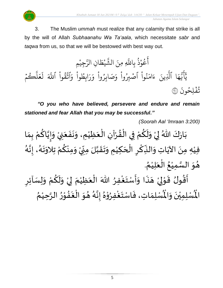

3. The Muslim *ummah* must realize that any calamity that strike is all by the will of Allah *Subhaanahu Wa Ta'aala*, which necessitate *sabr* and *taqwa* from us, so that we will be bestowed with best way out.

و<br>م ع ِ<br>ج آعُوْذُ بِاللَّهِ مِنَ الشَّيْطَانِ الرَّجِيْمِ ْ ند<br>م ِن الر ا  $\tilde{\cdot}$ ط ي **ٔ** بر<br>ش لَّهِ مِنَ الشَّ وْذَ بِاللَّهِ و<br>ڊ **ٔ** ا ِ<br>م ه و<br>ما ت<br>ڊ ِ<br>ج أ ِ<br>د يَ<br>يَأْتُهَا ٱلَّذِينَ لَّذِينَ ءَامَنُوا ْ ُو ِ<br>م ام ر<br>ء ءَامَنُوا آصۡبِرُوا ْ <u>و</u> ر<br>د ِ<br>م ابِطُوا وَ ،<br>أ و ِ<br>په ر ر<br>م وَصَابِرُواْ وَ ْ ُ وَصَابِرُوا وَرَابِطُوا وَاتَّقُوا ْ ور بر<br>به تَّقُوا ا ذَ للَّهَ لَعَلْكُمْ  $\frac{1}{2}$ ر بة<br>ا  $\uplambda$  $\frac{1}{2}$ ع َ ل .<br>` .<br>تفلِحُونَ ۞ و <u>بہ</u>

*"O you who have believed, persevere and endure and remain stationed and fear Allah that you may be successful."*

*(Soorah Aal 'Imraan 3:200)*

ْ بَارَكَ اللّهُ لِيْ وَلَكُمْ فِي الْقُرْآنِ الْعَظِيْمِ، وَنَفَعَنِيْ وَإِيَّاكُمْ بِمَا  $\ddot{\phantom{0}}$  $\frac{1}{2}$  $\ddot{\phantom{0}}$  $\frac{1}{2}$ ់<br>រ  $\ddot{\phantom{0}}$ ֦֧֦֧֦֦֧֝<u>֦</u> ْ  $\frac{1}{2}$ ֦֧֦֧֦֧֦֧֦֧֧֦֧֦֧֦֧֦֧֦֝֟֓֓֝֓֟֓֓֟֓֓֟֓֓֟֓֟֓֟֓֟֓֟֓֟֓֡֟֓֟֓<br>**֡** ْ .<br>م ں<br>خ  $\ddot{\ }$ ْ  $\frac{1}{2}$  $\ddot{\phantom{0}}$  $\frac{1}{\lambda}$ ៝<br><del>៹</del> ِ<br>م َ  $\frac{1}{2}$  $\frac{1}{2}$ ر<br>ر فيْهِ مِنَ الآيَاتِ وَالنِّكْرِ الْحَكِيْمِ وَتَقَبَّلَ مِنِّيْ وَمِنْكُمْ تِلاَوَتَهُ، إِنَّهُ े<br>इ  $\frac{1}{2}$ ر<br>پر  $\frac{1}{2}$  $\ddot{\phantom{0}}$ ّ<br>ٌ ِ<br>م ْ  $\frac{1}{2}$ **ٔ** י<br>ִי  $\sum$ ن<br>ا  $\frac{1}{2}$  $\ddot{\phantom{0}}$  $\frac{1}{2}$ ់<br>(  $\overline{\phantom{a}}$ ֧֧֝֟֟֟֟֟֟֟֟֟֟֟֟֟֓֟֓֕֓֝  $\overline{\phantom{a}}$ ْ ِّ َ<br>م ِ<br>پُ  $\ddot{\phantom{0}}$ ់<br>( ْ هُوَ السَّمِيْعُ الْعَلِيْمُ. ن<br>سا  $\ddot{\ }$  $\frac{1}{2}$ ُ ْ َ ֝֟<br>֧֝֟֝ ُ

 $\overline{\phantom{a}}$ أَقُولُ قَوْلِيْ هَذَا وَأَسْتَغْفِرُ اللّٰهَ الْعَظِيْمَ لِيْ وَلَكُمْ وَلِسَاْئِرِ  $\frac{1}{2}$ ْ ِ<br>م  $\tilde{\cdot}$  $\frac{1}{2}$ ْ إ  $\frac{1}{2}$ ْ  $\ddot{\phantom{0}}$ ֦֧֦֧֦֧֝<u>֦</u> ُِ<br>و  $\frac{1}{2}$  $\frac{1}{2}$  $\frac{1}{2}$ ै।<br>र  $\overline{\phantom{a}}$ ْ إ ֦֧֦֧֦֦֧֦֧֦֧֦֧֦֧֦֧֦֧֦֧֦֧֦֧֝<br>**֧**  $\frac{1}{2}$ ر<br>پيد ें<br>ने ُ ري<br>لْمُسْلِمَاتِ، فَاسْتَغْفِرُوْهُ إِنَّهُ هُوَ الْغَفُوْرُ الرَّحِيْمُ ់<br>រ ہ<br>د بر<br>▲ ֦֧֦ ••<br>•••  $\ddot{\phantom{0}}$ ْ  $\ddot{\phantom{0}}$ ُ ء<br>گ  $\frac{1}{2}$  $\frac{1}{2}$ ِ<br>ٌ ֦֧֦֧֦ ٍ<br>ٌ ا<br>،<br>.  $\frac{1}{2}$  $\ddot{\cdot}$  $\frac{1}{2}$ رب<br>لْمُسْلِمِيْنَ وَالْمُ  $\ddot{\ }$  $\ddot{\phantom{0}}$ ْ اْل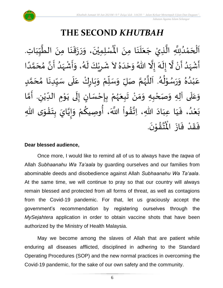

# **THE SECOND** *KHUTBAH*

 $\mathbf{r}^{\circ}$ اَلْحَمْدُلِلَّهِ الَّذِيْ جَعَلَنَا مِنَ الْمُسْلِمِيْنَ، وَرَزَقَنَا مِنَ الطَّيِّبَاتِ.  $\ddot{\phantom{0}}$  $\ddot{\phantom{0}}$  $\overline{\phantom{a}}$  $\ddot{\phantom{0}}$  $\overline{\phantom{a}}$ ر<br>م ن<br>ا ُ<br>ُ ់<br>។  $\overline{\phantom{a}}$ ֦֧֦֧֦֧֦֧֦֧֦֧֦֧֧֦֧֧֦֧֦֧֦֧֦֝֟֓֓֓֓֜֓֟֓֜֓֓֟֓֓֟֓֓֟֓<br>**֧**  $\frac{1}{\sqrt{2}}$  $\frac{1}{1}$ しんこ  $\frac{1}{2}$ ل<br>محمد<br>ا  $\ddot{\phantom{0}}$  $\ddot{\phantom{0}}$  $\frac{1}{2}$  $\ddot{\phantom{0}}$  $\overline{\phantom{a}}$  $\frac{1}{2}$  $\ddot{\phantom{0}}$ ْ ْ ्<br>र أَشْهَدُ أَنْ لَّا إِلَهَ إِلَّا اللّهُ وَحْدَهُ لاَ شَرِيْكَ لَهُ، وَأَشْهَدُ أَنَّ مُحَمَّدًا ْ  $\ddot{\mathbf{z}}$  $\frac{1}{1}$ َ<br>زار<br>ما ْ  $\sum_{i=1}^{n}$ ل<br>مجموع ِ<br>ِ  $\frac{1}{\epsilon}$  $\frac{1}{2}$  $\ddot{\phantom{0}}$ ٍ<br>ٌ  $\frac{1}{1}$  $\frac{1}{2}$ ً<br>ا ี้<br>ส ं<br>- $\frac{1}{2}$  $\frac{1}{2}$ ا<br>: <br>ا  $\frac{1}{2}$ ْ  $\frac{1}{2}$  $\tilde{\cdot}$ ر<br>گ  $\ddot{\phantom{0}}$ ْ  $\sum$  $\frac{1}{2}$ عَبْدُهُ وَرَسُوْلُهُ. اَللَّهُمَّ صَلِّ وَسَلِّمْ وَبَارِكْ عَلَى سَيِّدِنَا مُحَمَّدٍ  $\mathbf{r}$ ั<br>ั  $\overline{\phantom{a}}$ ๋<br>ጎ **ृ** ِّ しんけい ۔ $\frac{1}{1}$ ِ<br>م ّ<br>وُ  $\ddot{\phantom{0}}$ بر<br>م ْ ِّ  $\overline{L}$  $\frac{1}{2}$ ี<br>จ ر<br>ر<br>ر ہ<br>ا م<br>آ ر<br>گ ء<br>ا≉ י<br>י ِ<br>م  $\frac{1}{2}$  $\frac{1}{2}$ بر<br>▲ .<br>د ់<br>រ ِ<br>م وَعَلَى آلِهِ وَصَحْبِهِ وَمَنْ تَبِعَهُمْ بِإِحْسَانٍ إِلَى يَوْمِ الدِّيْنِ. أَمَّا  $\overline{\mathbf{1}}$  $\frac{1}{2}$  $\tilde{\cdot}$  $\ddot{\ }$ ْ ี<br>วั َ لي ْ ِّ  $\ddot{\phantom{0}}$ י<br>י  $\ddot{\phantom{0}}$  $\ddot{\phantom{0}}$ ل  $\frac{1}{2}$ )<br>=<br>= ֦֧֦֧֦֧<u>֦</u>  $\ddot{\cdot}$ ْ ر<br>ر<br>ر  $\ddot{\phantom{0}}$  $\ddot{\phantom{0}}$ ْ ์ $\frac{1}{2}$ -<br>بَعْدُ، فَيَا عِبَادَ اللهِ، اِتَّقُواْ اللَّهَ، أُوصِيكُمْ وَإِيَّايَ بِتَقْوَى اللهِ  $\ddot{\ }$ ֦֧֦֧֦֧֝<u>֦</u>  $\ddot{\phantom{0}}$  $\ddot{\cdot}$ **تا**<br>• —<br>-<br>-<br>- $\frac{1}{2}$ ْ **∕**<br>م ُ<br>په<br>پنجاب نہ<br>ا  $\frac{1}{2}$  $\frac{1}{2}$  $\ddot{\phantom{0}}$  $\frac{1}{1}$  $\frac{1}{1}$  $\frac{1}{2}$ <br>ا ْ  $\ddot{\phantom{0}}$ .  $\ddot{\phantom{0}}$ تقۇنَ ֦֧֦֦֧֦֦֦֧֦֝֝֟֓<br>**֧**  $\frac{1}{2}$ ِ<br>ئى<br>ب  $\frac{1}{\sqrt{2}}$ فَقَدْ فَازَ الْمُ  $\ddot{\phantom{0}}$  $\ddot{\cdot}$ ْ  $\frac{1}{2}$  $\frac{1}{2}$ 

#### **Dear blessed audience,**

Once more, I would like to remind all of us to always have the *taqwa* of Allah *Subhaanahu Wa Ta'aala* by guarding ourselves and our families from abominable deeds and disobedience against Allah *Subhaanahu Wa Ta'aala*. At the same time, we will continue to pray so that our country will always remain blessed and protected from all forms of threat, as well as contagions from the Covid-19 pandemic. For that, let us graciously accept the government's recommendation by registering ourselves through the *MySejahtera* application in order to obtain vaccine shots that have been authorized by the Ministry of Health Malaysia.

May we become among the slaves of Allah that are patient while enduring all diseases afflicted, disciplined in adhering to the Standard Operating Procedures (SOP) and the new normal practices in overcoming the Covid-19 pandemic, for the sake of our own safety and the community.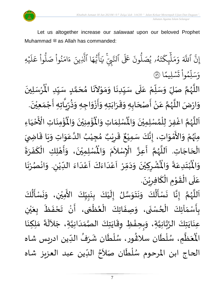

Let us altogether increase our *salawaat* upon our beloved Prophet Muhammad صلى الله عليه وسلم as Allah has commanded:

بہ<br>ج إِنَّ ا ذَ للَّهَ وَمَلْيِكْتَهُ و<br>لم  $\ddot{\cdot}$ ت ر<br>م ِك ئ بر<br>آ  $\uplambda$ ر<br>م بر<br>م ر<br>م وَمَلَٰٓئٍكَتَهُۥ يُصَلُّونَ عَلَى ون و<br>ا يُصَلُّونَ عَلَى ٱلتَّبِيِّ و<br>د ֦ لتَّبِّيِّ ِ<br>بر يَايَّهَا ر<br>م ه و<br>ما سَ<br>ڊ ِ<br>ج أَيَّهَا ٱلَّذِينَ بة<br>1 لَّذِينَ ءَامَنُوا صَلُوا عَلَيْهِ ؚ<br>ٛ ر<br>آ  $\uplambda$ ِ<br>م ع وا ْ و<br>ا نُواْ صَلُّ ْ و<br>ڊ ر<br>م ام ्<br>द ء ا  $\frac{2}{\lambda}$ ن*َسْ*لِيمً  $\ddot{\phantom{0}}$  $\ddot{\cdot}$ ت <u>ہ</u> وا ِم و<br>م ں<br>ا ل ِ<br>س وَسَلِّمُواْ تَسْلِيمًا (َ ُ

اللَّهُمَّ صَلِّ وَسَلِّمْ عَلَى سَيِّدِنَا وَمَوْلاَنَا مُحَمَّدٍ سَيِّدِ الْمُرْسَلِينَ  $\ddot{\phantom{0}}$ ْ  $\mathbf{r}^{\circ}$ للَّهُمَّ صَلِّ وَسَلِّمْ عَلَى سَيِّدِنَا وَمَوْلاَنَا مُحَمَّدٍ سَيِّدِ الْمُرْسَلِينَ ِّ しんけい <u>لم</u> ี<br>ั<br>ุก  $\overline{\phantom{a}}$ ๋<br>ጎ  $\mathbf{r}$  $\tilde{\phantom{a}}$ י<br>י  $\frac{1}{2}$  $\frac{1}{2}$  $\ddot{\phantom{0}}$ ِّ  $\overline{\phantom{a}}$ ِ<br>م ْ ِ<br>ِّ  $\overline{L}$  $\frac{1}{2}$ ี<br>จ ر<br>ر<br>ر ہ<br>ا ़<br>-<br>• وَارْضَ اللَّهُمَّ عَنْ أَصْحَابِهِ وَقَرَابَتِهِ وَأَزْوَاجِهِ وَذُرِّيَّاتِهِ أَجْمَعِيْنَ. ْ  $\frac{1}{2}$ ֦֧֦֧֦֧<u>֦</u> -<br>:<br>: ً<br>ق  $\frac{1}{2}$ ر ء<br>پيد  $\frac{1}{2}$  $\frac{1}{2}$ ່<br>: ֧֪֪֪֪֧֧֧֧֓֝֬֝֝֝֝֟֓֝֬֝֓֝֬֝֓֝֬֝֓֝֬֝֓֝<br>֧֪֪֝֝֝֝֝֟׆֧  $\frac{1}{2}$  $\ddot{\phantom{0}}$  $\frac{1}{2}$  $\frac{1}{2}$  $\ddot{\phantom{0}}$  $\overline{\phantom{a}}$ ا<br>:<br>: ْ  $\frac{1}{2}$ ن<br>پ ر<br>ر<br>ر ِ<br>آ  $\ddot{\ }$ ؙۏ۠ۄٮؘؘاتؚ  $\ddot{\phantom{0}}$ ْ<br>ئا  $\tilde{\mathbf{r}}$ ُؤْمِنِيْنَ وَالْمُ  $\frac{1}{2}$  $\ddot{\phantom{0}}$ ْ ؚ<br>پا ُْ ِ<br>لْمُسْلِمَاتِ وَالْمُ  $\frac{1}{2}$  $\frac{1}{2}$ اَللَّهُمَّ اغْفِرْ لِلْمُسْلِمِيْنَ وَالْمُسْلِمَاتِ وَالْمُؤْمِنِيْنَ وَالْمُؤْمِنَاتِ  $\tilde{\cdot}$  $\ddot{\phantom{0}}$ ْ ›<br>ለ ់<br>**រ** ِ<br>و ี้<br>ถึ ر<br>ر<br>ر ہ<br>آ َ َ مَ<br>مع الْأَحْيَاءِ  $\frac{1}{1}$ ْ ْ مِنْهُمْ وَالأَمْوَاتِ، إِنَّكَ سَمِيْعٌ قَرِيْبٌ مُجِيْبُ الدَّعَوَاتِ وَيَا قَاضِيَ ُ<br>وُرُ ْ  $\ddot{\ }$ ់<br>ភ  $\frac{1}{2}$  $\frac{1}{2}$  $\frac{1}{2}$  $\ddot{\mathbf{r}}$  $\ddot{\phantom{0}}$  $\tilde{\cdot}$  $\ddot{\ }$ ِ<br>م ہ<br>ا ُ ْ  $\frac{1}{2}$ ه<br>**د ا** ي ر ق  $\sum$  $\frac{1}{2}$ ٌ ء<br>، إِنَّكَ سَمِيْعٌ ْ  $\frac{1}{2}$  $\frac{1}{2}$ الْحَاجَاتِ. اَللَّهُمَّ أَعِزَّ الْإِسْلاَمَ وَ  $\overline{\phantom{a}}$ ۔<br>∤  $\frac{1}{1}$ ر<br>آ ر<br>ر<br>ر ี<br>จั  $\frac{1}{2}$  $\frac{1}{2}$ .<br>ا∤ ्<br>र .<br>د  $\tilde{\cdot}$  $\bar{\ddot{\cdot}}$ الْمُسْلِمِيْنَ، وَأَهْلِكِ الْكَفَرَةَ ؙ<br>; ْ ي  $\ddot{\phantom{0}}$ **]∗**  $\frac{1}{2}$  $\frac{1}{2}$ َ ْ י<br>**י** ر<br>بن  $\tilde{\cdot}$ ُشْرِكِيْنَ وَدَمِّرْ اَعْدَاءَكَ اَعْدَاءَ اللِّيْنِ. وَانْصُرْنَا ر<br>.<br>. ْ ُمُ<br>م ْ  $\tilde{\cdot}$ لي ْ ِّ  $\frac{1}{2}$ ہ<br>د ّ<br>م  $\frac{1}{2}$ َ<br>و  $\frac{1}{2}$  $\frac{1}{1}$ ْ<br>م  $\overline{\phantom{a}}$ ֧֦֧֦֧<u>֦</u>  $\frac{1}{2}$  $\sim$  $\frac{1}{2}$ ا<br>•<br>• ْ  $\overline{\phantom{a}}$ ْ  $\ddot{\hat{}}$ ُبْتَدِعَةً وَالْمُ  $\frac{1}{2}$  $\ddot{\cdot}$  $\frac{1}{2}$  $\ddot{\phantom{0}}$ ْ<br>ْ  $\ddot{\hat{}}$ اْل و  $\tilde{\cdot}$ ֦֧֦֦֧֝<u>֚</u> عَلَى الْقَوْمِ الْكَافِرِيْنَ. الہ<br>معا ْ े $\frac{1}{1}$  $\frac{1}{2}$  $\ddot{\phantom{}}$ ْ  $\overline{\phantom{a}}$ ∶<br>∽ `<br>ا  $\ddot{\phantom{0}}$ 

كَ ي ب ن ب كَ ي ل إ لُ س و ت ن و كَ ل أ سْ ا ن ن إ م ه لل ا ال كَ ل أ سْ ن ن، و مي ِّ  $\frac{1}{2}$ ا<br>با  $\ddot{\phantom{0}}$  $\ddot{\cdot}$ ْ  $\mathbf{r}$  $\frac{1}{2}$ ن<br>سا  $\ddot{\ }$  $\ddot{\phantom{0}}$  $\ddot{\phantom{0}}$  $\frac{1}{2}$ ُ<br>الج َ  $\ddot{\phantom{0}}$  $\frac{1}{2}$  $\frac{1}{2}$ ี<br>ถึ ر<br>ر<br>ر ً<br>ا  $\overline{\phantom{a}}$  $\tilde{\epsilon}$ ُ<br>ا∲  $\ddot{\phantom{0}}$  $\ddot{\phantom{0}}$  $\frac{1}{2}$ ْ  $\ddot{\phantom{0}}$ .<br>بِأَسْمَآئِكَ الْحُسْنَى، وَصِفَاتِكَ الْعُظُمَى، أَنْ تَحْفَظَ بِعَيْنِ ِّدِ ֦֧֧֦֧֦֧֦֧֦֧֦֧֧֦֧֦֧֦֧֦֧֦֧֦֧֟֝֟֓֟֓֟֓֜֓֟֓֟֓֓֟֓֟֓<br>**֧**  $\frac{1}{2}$ ֧֧֧֦֧֦֧֚֬֝֟֜֝֟֓֕֝֟֓֕֝֓֕֓֕֓֝֬֝֓֕֓֝֬֟֓֟֓֟֓<br>֧֧֧֧֝֩֝֬׆֧ <u>ر</u><br>- $\frac{1}{2}$ ر<br>م }<br>• ֦֧֦֧֦֧֝<u>֦</u>  $\ddot{\cdot}$  $\frac{1}{2}$ ْ ي  $\frac{1}{2}$ ر<br>م  $\ddot{\cdot}$  $\frac{1}{2}$ ْ  $\sum_{i=1}^{n}$ ِ<br>عِنَايَتِكَ الرَّبَّانِيَّةِ، وَبِحِفْظِ وِقَايَتِكَ الصَّمَدَانِيَّةِ، جَلاَلَةَ مَلِكِنَا ن<br>ا ہ<br>تہ<br>• ہ<br>پ  $\ddot{\phantom{0}}$  $\ddot{\phantom{0}}$ ن<br>ا  $\frac{1}{1}$  $\frac{1}{2}$ ر<br>ر<br>ر  $\frac{1}{2}$ ا<br>پو ֞**֚**  $\frac{1}{2}$  $\tilde{\cdot}$  $\sim$  $\ddot{\cdot}$ ِ<br>آباد  $\ddot{\phantom{0}}$  $\frac{1}{2}$ ؙعۡظٌمٖ ے<br>تا َ ر<br>مو الْمُعَظَّمِ، سُلْطَان سلَاڠُور، سُلْطَان شَرَفُ الدِّين ادريس شاه م<br>م ا<br>ا ر<br>ر, }<br>፟**፟**  $\frac{1}{1}$ ُ  $\mathbf{r}$ ر<br>م ٝ<br>ا .<br>م  $\sim$ الحاج ابن المرحوم سُلْطَان صَلاَحُ الدِّين عبد العزيز شاه `<br>أ ا<br>ا ُ<br>ُ  $\frac{1}{2}$ <sup>}</sup>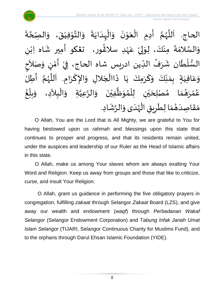

 $\ddot{\cdot}$ ة **ี**<br>ร ة<br>ح صِّ الحاج. اَللَّهُمَّ أَدِمِ الْعَوْنَ وَالْبِدَايَةَ وَالتَّوْفِيْقَ، وَال  $\frac{1}{2}$  $\ddot{\phantom{0}}$ ٝ<br>ؙ י<br>י  $\frac{1}{2}$  $\frac{1}{2}$  $\ddot{\cdot}$  $\ddot{\phantom{0}}$  $\frac{1}{1}$ ֦֧֦֧֦֧֦֧֦֧֦֧֧֝֟֓֟֓֓֟֓֟֓֟֓֟֓֟֓֟֓֟֓֟֓֟֓֟֓֟֓֟֓֟֓֟֓֝֟֓֟֓֝֬<br>֧֝֩֩**֓**֧֧֧֓֟֡֟֓֬֓֩֓֕֓֝֟֓  $\frac{1}{2}$  $\ddot{\phantom{0}}$ י<br>י  $\frac{1}{2}$ ֦֧֦֧֦֧֝<u>֦</u>  $\ddot{\phantom{0}}$  $\sum_{i=1}^{n}$ ี<br>จั ر<br>ر<br>ر ہ<br>آ َ ِّ  $\frac{1}{2}$ ى<br>وَالسَّلامَةَ مِنْكَ، لِوَلِيِّ عَهْدِ سلاغُور، ت**ڠك**و أَمِير شَاه اِبْنِ إ  $\frac{1}{2}$ ْ  $\ddot{\cdot}$  $\ddot{\ }$ ن<br>س ٝ<br>ۣ<br>ؙ ِ<br>م ر<br>شم ٝ<br>ؙ  $\frac{1}{2}$ َ السُّلْطَان شَرَفُ الدِّين ادريس شاه الحاج، فِيْ أَمْنٍ وَصَلاَحِ —<br>ب ُ  $\frac{1}{2}$  $\ddot{\phantom{0}}$ ْ  $\frac{3}{4}$  $\frac{1}{2}$ ْ  $\tilde{\phantom{a}}$  $\tilde{\cdot}$ <u>رِ</u> י<br>י ..<br>:<br>: ।<br>ज حِ بِمَنِّكَ وَكَرَمِكَ يَا ذَاالْجَلالِ وَالإِكْرَامِ. اَللَّهُمَّ أَطِلُ ا<br>:<br>: ์<br>ถ .<br>پر<br>ر ب<br>تا َ  $\ddot{\phantom{0}}$ ا<br>با  $\tilde{\cdot}$  $\overline{\phantom{a}}$ ֦֧֧֦֧֦֧֦֧֦֧֧֟֝֝֜֓֓<u>֚</u>  $\ddot{\cdot}$  $\ddot{\phantom{0}}$ َ  $\tilde{\cdot}$ ِّ<br>ِ∙  $\frac{1}{2}$  $\sum_{i=1}^{n}$  $\frac{1}{1}$  في  $\overline{\mathsf{L}}$ ِ<br>م ع  $\ddot{\ }$ و  $\ddot{\cdot}$ ا مُصْلِحَيْنِ لِلْمُوَظَّفِيْنَ وَالرَّعِيَّةِ وَالْبِلاَدِ، وَ ֦֧֦֧֦֧֝<u>֦</u> ا<br>ا ្វ<br>វ ہ<br>پ ์ $\tilde{\cdot}$  $\ddot{\phantom{0}}$ ْ  $\tilde{\mathbf{r}}$  $\frac{1}{2}$ ›<br>ለ ់<br>( ់<br> ي  $\overline{\phantom{a}}$  $\frac{1}{2}$  $\frac{1}{\lambda}$ م  $\frac{1}{2}$ و<br>گھ رَ ْ ه<br>لم ر<br>م ع  $\tilde{\phantom{a}}$ ໍ່<br>່ غ ِّ<br>ا  $\frac{1}{2}$ بلاً  $\tilde{\cdot}$  $\frac{1}{1}$ مَقَاصِدَهُمَا لِطَرِيقِ الْهُدَى وَالرَّشَادِ. ر<br>ر<br>ر ֦֧֦֧֦֧֦֧֦֧֦֧֧֦֧֝֝֜֟֓֓֟֓֟֓֟֓֟֓<br>**֡**  $\overline{\phantom{a}}$ ا<br>م  $\frac{1}{2}$ ُ  $\frac{1}{1}$  $\frac{1}{2}$  $\frac{1}{2}$ .<br>په  $\tilde{\cdot}$ 

O Allah, You are the Lord that is All Mighty, we are grateful to You for having bestowed upon us *rahmah* and blessings upon this state that continues to prosper and progress, and that its residents remain united, under the auspices and leadership of our Ruler as the Head of Islamic affairs in this state.

O Allah, make us among Your slaves whom are always exalting Your Word and Religion. Keep us away from groups and those that like to criticize, curse, and insult Your Religion.

O Allah, grant us guidance in performing the five obligatory prayers in congregation, fulfilling *zakaat* through Selangor *Zakaat* Board (LZS), and give away our wealth and endowment (*waqf*) through *Perbadanan Wakaf Selangor* (Selangor Endowment Corporation) and *Tabung Infak Jariah Umat Islam Selangor* (TIJARI, Selangor Continuous Charity for Muslims Fund), and to the orphans through Darul Ehsan Islamic Foundation (YIDE).

8